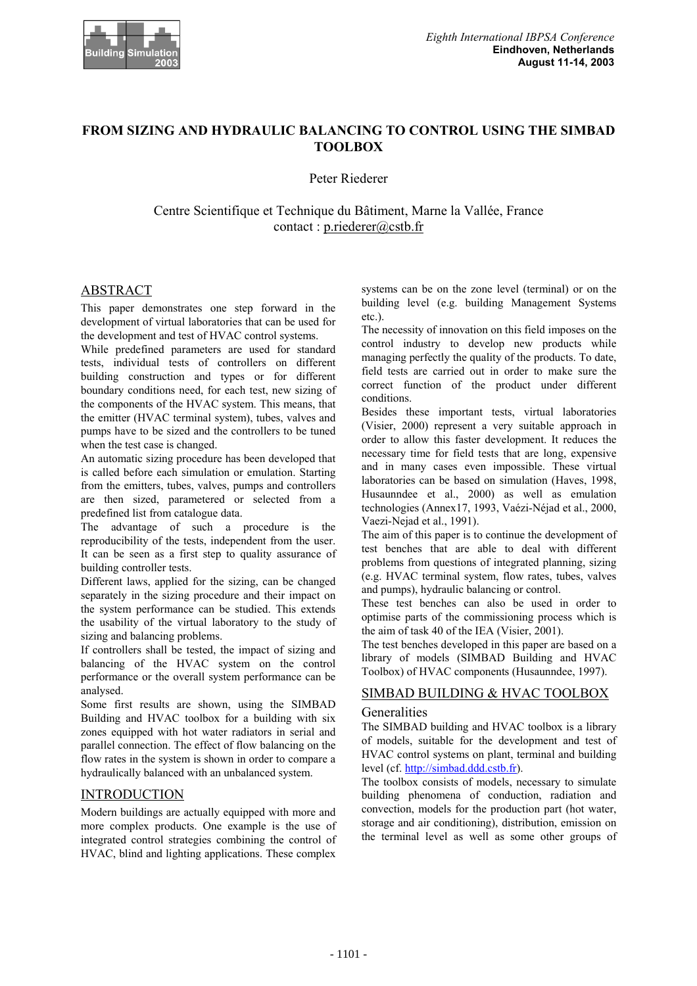

# **FROM SIZING AND HYDRAULIC BALANCING TO CONTROL USING THE SIMBAD TOOLBOX**

Peter Riederer

Centre Scientifique et Technique du Bâtiment, Marne la Vallée, France contact : p.riederer@cstb.fr

## ABSTRACT

This paper demonstrates one step forward in the development of virtual laboratories that can be used for the development and test of HVAC control systems.

While predefined parameters are used for standard tests, individual tests of controllers on different building construction and types or for different boundary conditions need, for each test, new sizing of the components of the HVAC system. This means, that the emitter (HVAC terminal system), tubes, valves and pumps have to be sized and the controllers to be tuned when the test case is changed.

An automatic sizing procedure has been developed that is called before each simulation or emulation. Starting from the emitters, tubes, valves, pumps and controllers are then sized, parametered or selected from a predefined list from catalogue data.

The advantage of such a procedure is the reproducibility of the tests, independent from the user. It can be seen as a first step to quality assurance of building controller tests.

Different laws, applied for the sizing, can be changed separately in the sizing procedure and their impact on the system performance can be studied. This extends the usability of the virtual laboratory to the study of sizing and balancing problems.

If controllers shall be tested, the impact of sizing and balancing of the HVAC system on the control performance or the overall system performance can be analysed.

Some first results are shown, using the SIMBAD Building and HVAC toolbox for a building with six zones equipped with hot water radiators in serial and parallel connection. The effect of flow balancing on the flow rates in the system is shown in order to compare a hydraulically balanced with an unbalanced system.

## INTRODUCTION

Modern buildings are actually equipped with more and more complex products. One example is the use of integrated control strategies combining the control of HVAC, blind and lighting applications. These complex

systems can be on the zone level (terminal) or on the building level (e.g. building Management Systems etc.).

The necessity of innovation on this field imposes on the control industry to develop new products while managing perfectly the quality of the products. To date, field tests are carried out in order to make sure the correct function of the product under different conditions.

Besides these important tests, virtual laboratories (Visier, 2000) represent a very suitable approach in order to allow this faster development. It reduces the necessary time for field tests that are long, expensive and in many cases even impossible. These virtual laboratories can be based on simulation (Haves, 1998, Husaunndee et al., 2000) as well as emulation technologies (Annex17, 1993, Vaézi-Néjad et al., 2000, Vaezi-Nejad et al., 1991).

The aim of this paper is to continue the development of test benches that are able to deal with different problems from questions of integrated planning, sizing (e.g. HVAC terminal system, flow rates, tubes, valves and pumps), hydraulic balancing or control.

These test benches can also be used in order to optimise parts of the commissioning process which is the aim of task 40 of the IEA (Visier, 2001).

The test benches developed in this paper are based on a library of models (SIMBAD Building and HVAC Toolbox) of HVAC components (Husaunndee, 1997).

## SIMBAD BUILDING & HVAC TOOLBOX

## **Generalities**

The SIMBAD building and HVAC toolbox is a library of models, suitable for the development and test of HVAC control systems on plant, terminal and building level (cf. http://simbad.ddd.cstb.fr).

The toolbox consists of models, necessary to simulate building phenomena of conduction, radiation and convection, models for the production part (hot water, storage and air conditioning), distribution, emission on the terminal level as well as some other groups of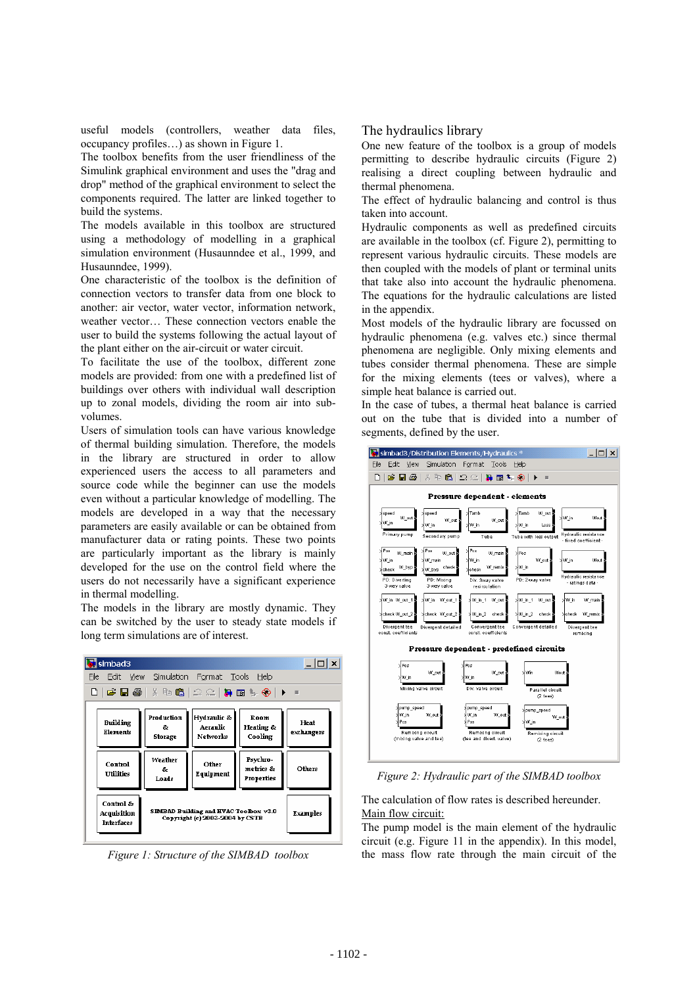useful models (controllers, weather data files, occupancy profiles…) as shown in Figure 1.

The toolbox benefits from the user friendliness of the Simulink graphical environment and uses the "drag and drop" method of the graphical environment to select the components required. The latter are linked together to build the systems.

The models available in this toolbox are structured using a methodology of modelling in a graphical simulation environment (Husaunndee et al., 1999, and Husaunndee, 1999).

One characteristic of the toolbox is the definition of connection vectors to transfer data from one block to another: air vector, water vector, information network, weather vector… These connection vectors enable the user to build the systems following the actual layout of the plant either on the air-circuit or water circuit.

To facilitate the use of the toolbox, different zone models are provided: from one with a predefined list of buildings over others with individual wall description up to zonal models, dividing the room air into subvolumes.

Users of simulation tools can have various knowledge of thermal building simulation. Therefore, the models in the library are structured in order to allow experienced users the access to all parameters and source code while the beginner can use the models even without a particular knowledge of modelling. The models are developed in a way that the necessary parameters are easily available or can be obtained from manufacturer data or rating points. These two points are particularly important as the library is mainly developed for the use on the control field where the users do not necessarily have a significant experience in thermal modelling.

The models in the library are mostly dynamic. They can be switched by the user to steady state models if long term simulations are of interest.

| $ $ $  $ $\Box$ $ $ $\times$<br>$\blacksquare$ simbad3 |                             |                                                                          |                                     |                    |  |  |
|--------------------------------------------------------|-----------------------------|--------------------------------------------------------------------------|-------------------------------------|--------------------|--|--|
| File -<br>Edit View Simulation Format Tools Help       |                             |                                                                          |                                     |                    |  |  |
| D C B &   & B &   Q Q   Q & &   ) =                    |                             |                                                                          |                                     |                    |  |  |
| Building<br>Elements                                   | Production<br>s.<br>Storage | Hydraulic &<br>Aeraulic<br><b>Networks</b>                               | Room<br>Heating &<br>Cooling        | Heat<br>exchangers |  |  |
| Control<br>Utilities                                   | Weather<br>s.<br>Loads      | Other<br>Equipment                                                       | Psychro-<br>metrics &<br>Properties | Others             |  |  |
| Control &<br>Acquisition<br><b>Interfaces</b>          |                             | SIMBAD Building and HVAC Toolbox v3.0<br>Copyright (c) 2003-2004 by CSTB |                                     | Examples           |  |  |

*Figure 1: Structure of the SIMBAD toolbox* 

## The hydraulics library

One new feature of the toolbox is a group of models permitting to describe hydraulic circuits (Figure 2) realising a direct coupling between hydraulic and thermal phenomena.

The effect of hydraulic balancing and control is thus taken into account.

Hydraulic components as well as predefined circuits are available in the toolbox (cf. Figure 2), permitting to represent various hydraulic circuits. These models are then coupled with the models of plant or terminal units that take also into account the hydraulic phenomena. The equations for the hydraulic calculations are listed in the appendix.

Most models of the hydraulic library are focussed on hydraulic phenomena (e.g. valves etc.) since thermal phenomena are negligible. Only mixing elements and tubes consider thermal phenomena. These are simple for the mixing elements (tees or valves), where a simple heat balance is carried out.

In the case of tubes, a thermal heat balance is carried out on the tube that is divided into a number of segments, defined by the user.



*Figure 2: Hydraulic part of the SIMBAD toolbox* 

The calculation of flow rates is described hereunder. Main flow circuit:

The pump model is the main element of the hydraulic circuit (e.g. Figure 11 in the appendix). In this model, the mass flow rate through the main circuit of the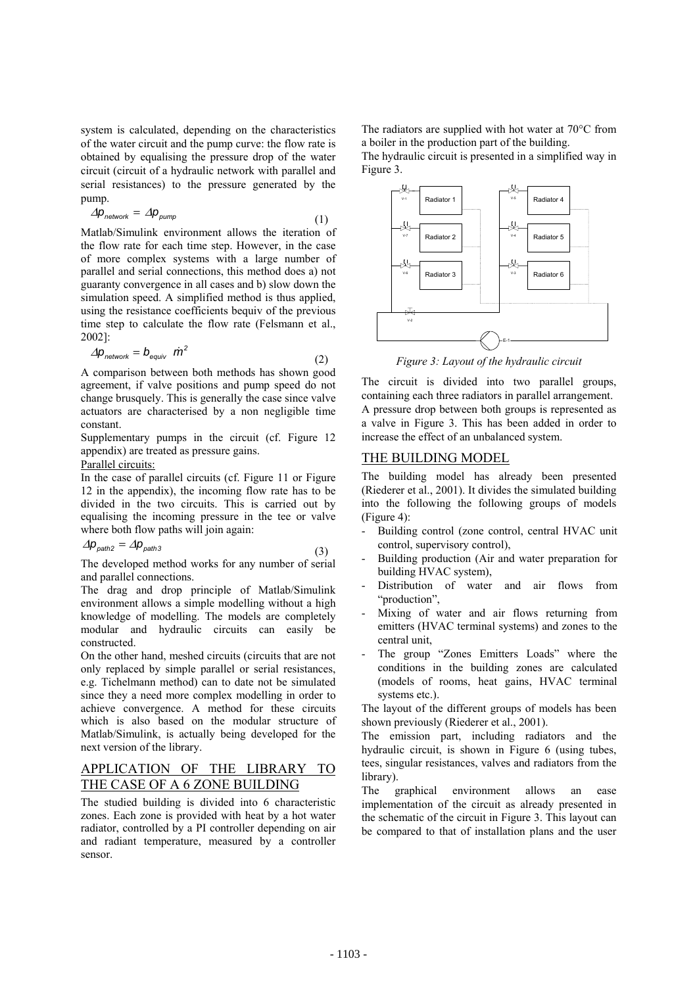system is calculated, depending on the characteristics of the water circuit and the pump curve: the flow rate is obtained by equalising the pressure drop of the water circuit (circuit of a hydraulic network with parallel and serial resistances) to the pressure generated by the pump.

$$
\Delta p_{network} = \Delta p_{pump} \tag{1}
$$

Matlab/Simulink environment allows the iteration of the flow rate for each time step. However, in the case of more complex systems with a large number of parallel and serial connections, this method does a) not guaranty convergence in all cases and b) slow down the simulation speed. A simplified method is thus applied, using the resistance coefficients bequiv of the previous time step to calculate the flow rate (Felsmann et al., 2002]:

$$
\Delta p_{network} = b_{equiv} \dot{m}^2 \tag{2}
$$

A comparison between both methods has shown good agreement, if valve positions and pump speed do not change brusquely. This is generally the case since valve actuators are characterised by a non negligible time constant.

Supplementary pumps in the circuit (cf. Figure 12 appendix) are treated as pressure gains.

## Parallel circuits:

In the case of parallel circuits (cf. Figure 11 or Figure 12 in the appendix), the incoming flow rate has to be divided in the two circuits. This is carried out by equalising the incoming pressure in the tee or valve where both flow paths will join again:

$$
\Delta p_{\text{path2}} = \Delta p_{\text{path3}} \tag{3}
$$

The developed method works for any number of serial and parallel connections.

The drag and drop principle of Matlab/Simulink environment allows a simple modelling without a high knowledge of modelling. The models are completely modular and hydraulic circuits can easily be constructed.

On the other hand, meshed circuits (circuits that are not only replaced by simple parallel or serial resistances, e.g. Tichelmann method) can to date not be simulated since they a need more complex modelling in order to achieve convergence. A method for these circuits which is also based on the modular structure of Matlab/Simulink, is actually being developed for the next version of the library.

# APPLICATION OF THE LIBRARY TO THE CASE OF A 6 ZONE BUILDING

The studied building is divided into 6 characteristic zones. Each zone is provided with heat by a hot water radiator, controlled by a PI controller depending on air and radiant temperature, measured by a controller sensor.

The radiators are supplied with hot water at 70°C from a boiler in the production part of the building. The hydraulic circuit is presented in a simplified way in Figure 3.



*Figure 3: Layout of the hydraulic circuit* 

The circuit is divided into two parallel groups, containing each three radiators in parallel arrangement. A pressure drop between both groups is represented as a valve in Figure 3. This has been added in order to increase the effect of an unbalanced system.

### THE BUILDING MODEL

The building model has already been presented (Riederer et al., 2001). It divides the simulated building into the following the following groups of models (Figure 4):

- Building control (zone control, central HVAC unit control, supervisory control),
- Building production (Air and water preparation for building HVAC system),
- Distribution of water and air flows from "production",
- Mixing of water and air flows returning from emitters (HVAC terminal systems) and zones to the central unit,
- The group "Zones Emitters Loads" where the conditions in the building zones are calculated (models of rooms, heat gains, HVAC terminal systems etc.).

The layout of the different groups of models has been shown previously (Riederer et al., 2001).

The emission part, including radiators and the hydraulic circuit, is shown in Figure 6 (using tubes, tees, singular resistances, valves and radiators from the library).

The graphical environment allows an ease implementation of the circuit as already presented in the schematic of the circuit in Figure 3. This layout can be compared to that of installation plans and the user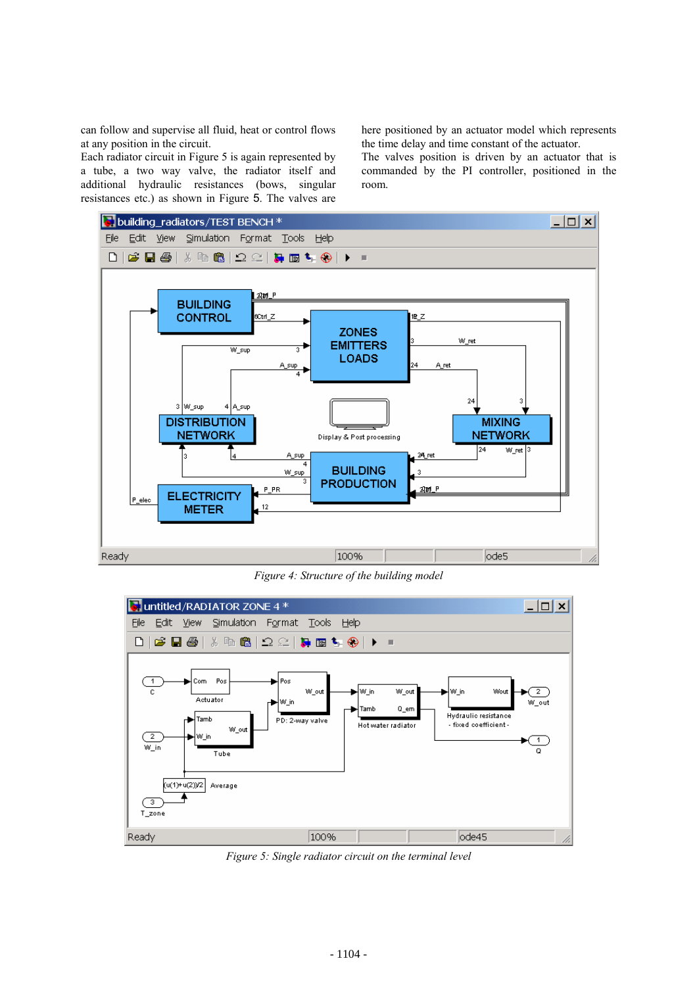can follow and supervise all fluid, heat or control flows at any position in the circuit.

Each radiator circuit in Figure 5 is again represented by a tube, a two way valve, the radiator itself and additional hydraulic resistances (bows, singular resistances etc.) as shown in Figure 5. The valves are here positioned by an actuator model which represents the time delay and time constant of the actuator.

The valves position is driven by an actuator that is commanded by the PI controller, positioned in the room.



*Figure 4: Structure of the building model* 



*Figure 5: Single radiator circuit on the terminal level*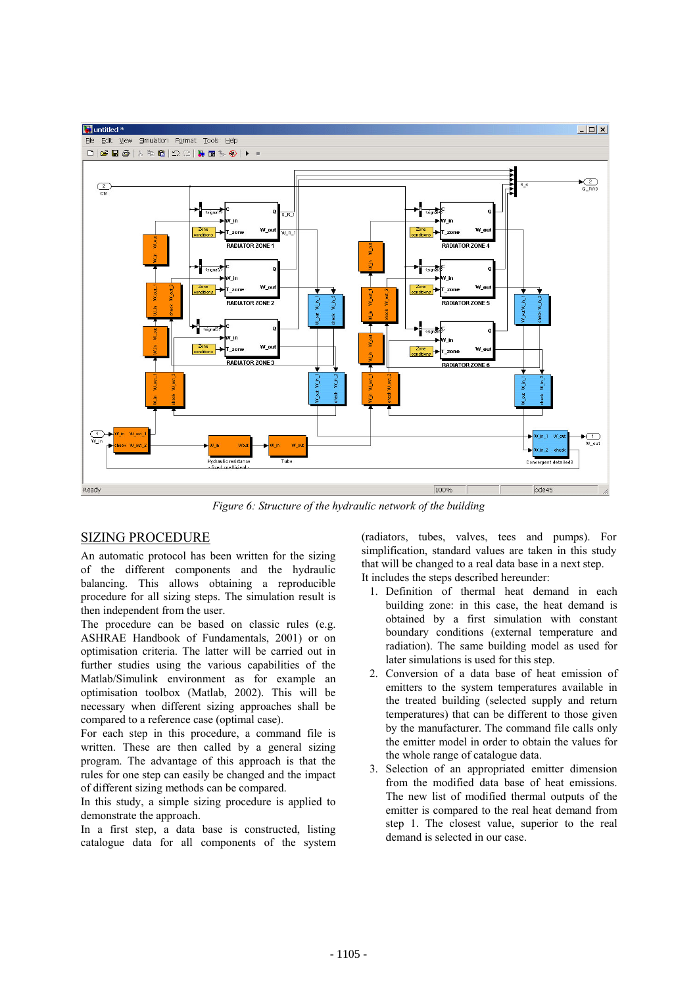

*Figure 6: Structure of the hydraulic network of the building* 

# SIZING PROCEDURE

An automatic protocol has been written for the sizing of the different components and the hydraulic balancing. This allows obtaining a reproducible procedure for all sizing steps. The simulation result is then independent from the user.

The procedure can be based on classic rules (e.g. ASHRAE Handbook of Fundamentals, 2001) or on optimisation criteria. The latter will be carried out in further studies using the various capabilities of the Matlab/Simulink environment as for example an optimisation toolbox (Matlab, 2002). This will be necessary when different sizing approaches shall be compared to a reference case (optimal case).

For each step in this procedure, a command file is written. These are then called by a general sizing program. The advantage of this approach is that the rules for one step can easily be changed and the impact of different sizing methods can be compared.

In this study, a simple sizing procedure is applied to demonstrate the approach.

In a first step, a data base is constructed, listing catalogue data for all components of the system (radiators, tubes, valves, tees and pumps). For simplification, standard values are taken in this study that will be changed to a real data base in a next step. It includes the steps described hereunder:

1. Definition of thermal heat demand in each building zone: in this case, the heat demand is obtained by a first simulation with constant boundary conditions (external temperature and radiation). The same building model as used for later simulations is used for this step.

- 2. Conversion of a data base of heat emission of emitters to the system temperatures available in the treated building (selected supply and return temperatures) that can be different to those given by the manufacturer. The command file calls only the emitter model in order to obtain the values for the whole range of catalogue data.
- 3. Selection of an appropriated emitter dimension from the modified data base of heat emissions. The new list of modified thermal outputs of the emitter is compared to the real heat demand from step 1. The closest value, superior to the real demand is selected in our case.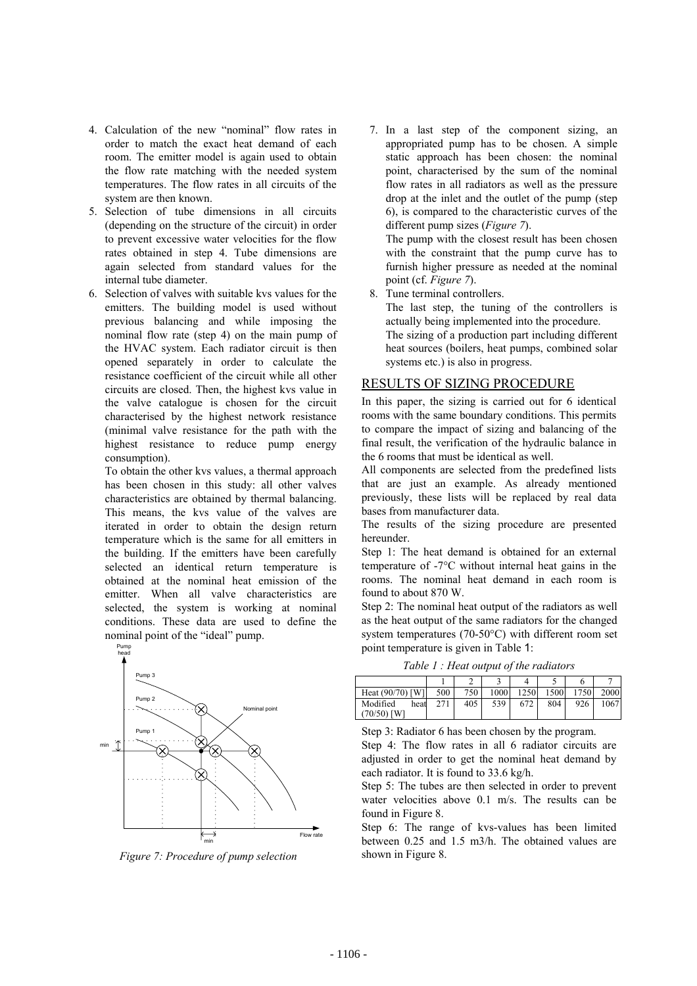- 4. Calculation of the new "nominal" flow rates in order to match the exact heat demand of each room. The emitter model is again used to obtain the flow rate matching with the needed system temperatures. The flow rates in all circuits of the system are then known.
- 5. Selection of tube dimensions in all circuits (depending on the structure of the circuit) in order to prevent excessive water velocities for the flow rates obtained in step 4. Tube dimensions are again selected from standard values for the internal tube diameter.
- 6. Selection of valves with suitable kvs values for the emitters. The building model is used without previous balancing and while imposing the nominal flow rate (step 4) on the main pump of the HVAC system. Each radiator circuit is then opened separately in order to calculate the resistance coefficient of the circuit while all other circuits are closed. Then, the highest kvs value in the valve catalogue is chosen for the circuit characterised by the highest network resistance (minimal valve resistance for the path with the highest resistance to reduce pump energy consumption).

To obtain the other kvs values, a thermal approach has been chosen in this study: all other valves characteristics are obtained by thermal balancing. This means, the kvs value of the valves are iterated in order to obtain the design return temperature which is the same for all emitters in the building. If the emitters have been carefully selected an identical return temperature is obtained at the nominal heat emission of the emitter. When all valve characteristics are selected, the system is working at nominal conditions. These data are used to define the nominal point of the "ideal" pump.



*Figure 7: Procedure of pump selection* 

7. In a last step of the component sizing, an appropriated pump has to be chosen. A simple static approach has been chosen: the nominal point, characterised by the sum of the nominal flow rates in all radiators as well as the pressure drop at the inlet and the outlet of the pump (step 6), is compared to the characteristic curves of the different pump sizes (*Figure 7*). The pump with the closest result has been chosen

with the constraint that the pump curve has to furnish higher pressure as needed at the nominal point (cf. *Figure 7*).

8. Tune terminal controllers.

The last step, the tuning of the controllers is actually being implemented into the procedure. The sizing of a production part including different heat sources (boilers, heat pumps, combined solar systems etc.) is also in progress.

### RESULTS OF SIZING PROCEDURE

In this paper, the sizing is carried out for 6 identical rooms with the same boundary conditions. This permits to compare the impact of sizing and balancing of the final result, the verification of the hydraulic balance in the 6 rooms that must be identical as well.

All components are selected from the predefined lists that are just an example. As already mentioned previously, these lists will be replaced by real data bases from manufacturer data.

The results of the sizing procedure are presented hereunder.

Step 1: The heat demand is obtained for an external temperature of -7°C without internal heat gains in the rooms. The nominal heat demand in each room is found to about 870 W.

Step 2: The nominal heat output of the radiators as well as the heat output of the same radiators for the changed system temperatures (70-50°C) with different room set point temperature is given in Table 1:

*Table 1 : Heat output of the radiators* 

| Heat (90/70) [W]               | 500 | 750 | 1000 | 1250 | 1500 | 1750 | 2000 |
|--------------------------------|-----|-----|------|------|------|------|------|
| Modified<br>heat<br>70/50) [W] | 271 | 405 | 539  | 672  | 804  | 926  | 1067 |

Step 3: Radiator 6 has been chosen by the program.

Step 4: The flow rates in all 6 radiator circuits are adjusted in order to get the nominal heat demand by each radiator. It is found to 33.6 kg/h.

Step 5: The tubes are then selected in order to prevent water velocities above 0.1 m/s. The results can be found in Figure 8.

Step 6: The range of kvs-values has been limited between 0.25 and 1.5 m3/h. The obtained values are shown in Figure 8.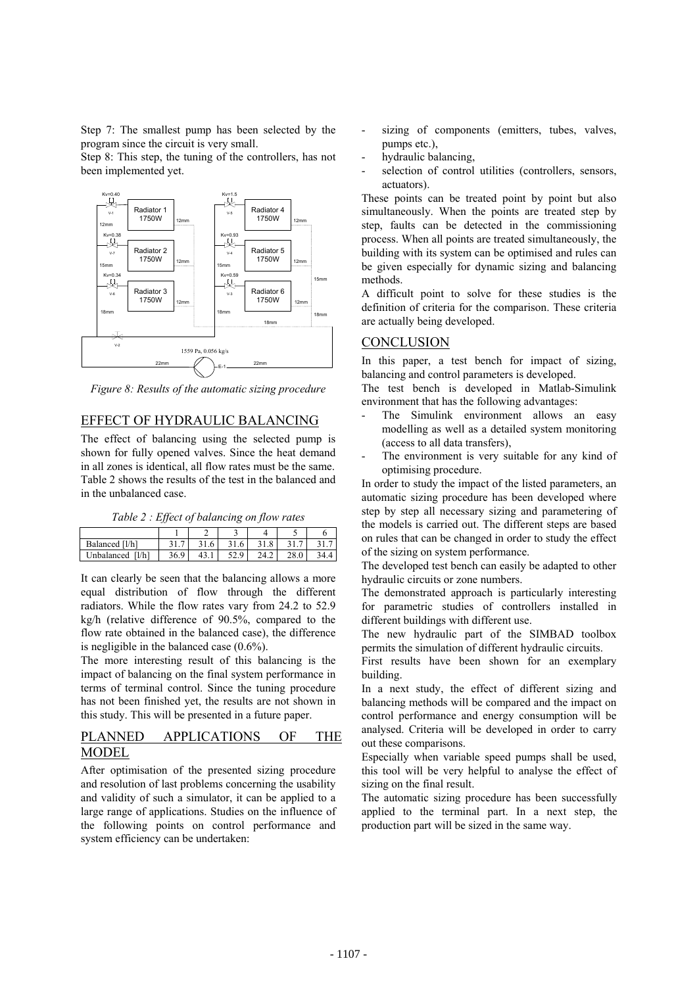Step 7: The smallest pump has been selected by the program since the circuit is very small.

Step 8: This step, the tuning of the controllers, has not been implemented yet.



*Figure 8: Results of the automatic sizing procedure* 

## EFFECT OF HYDRAULIC BALANCING

The effect of balancing using the selected pump is shown for fully opened valves. Since the heat demand in all zones is identical, all flow rates must be the same. Table 2 shows the results of the test in the balanced and in the unbalanced case.

| Balanced [l/h]     | -<br>.                           |             | $\cdot$   | $\circ$<br>1.0 |  |
|--------------------|----------------------------------|-------------|-----------|----------------|--|
| l/h]<br>Jnbalanced | $\Omega$<br>2C<br>$\mathsf{v}$ . | <b>TJ.1</b> | Q<br>ريەت | 24.2           |  |

It can clearly be seen that the balancing allows a more equal distribution of flow through the different radiators. While the flow rates vary from 24.2 to 52.9 kg/h (relative difference of 90.5%, compared to the flow rate obtained in the balanced case), the difference is negligible in the balanced case (0.6%).

The more interesting result of this balancing is the impact of balancing on the final system performance in terms of terminal control. Since the tuning procedure has not been finished yet, the results are not shown in this study. This will be presented in a future paper.

## PLANNED APPLICATIONS OF THE MODEL

After optimisation of the presented sizing procedure and resolution of last problems concerning the usability and validity of such a simulator, it can be applied to a large range of applications. Studies on the influence of the following points on control performance and system efficiency can be undertaken:

- sizing of components (emitters, tubes, valves, pumps etc.),
- hydraulic balancing,
- selection of control utilities (controllers, sensors, actuators).

These points can be treated point by point but also simultaneously. When the points are treated step by step, faults can be detected in the commissioning process. When all points are treated simultaneously, the building with its system can be optimised and rules can be given especially for dynamic sizing and balancing methods.

A difficult point to solve for these studies is the definition of criteria for the comparison. These criteria are actually being developed.

## **CONCLUSION**

In this paper, a test bench for impact of sizing, balancing and control parameters is developed.

The test bench is developed in Matlab-Simulink environment that has the following advantages:

- The Simulink environment allows an easy modelling as well as a detailed system monitoring (access to all data transfers),
- The environment is very suitable for any kind of optimising procedure.

In order to study the impact of the listed parameters, an automatic sizing procedure has been developed where step by step all necessary sizing and parametering of the models is carried out. The different steps are based on rules that can be changed in order to study the effect of the sizing on system performance.

The developed test bench can easily be adapted to other hydraulic circuits or zone numbers.

The demonstrated approach is particularly interesting for parametric studies of controllers installed in different buildings with different use.

The new hydraulic part of the SIMBAD toolbox permits the simulation of different hydraulic circuits.

First results have been shown for an exemplary building.

In a next study, the effect of different sizing and balancing methods will be compared and the impact on control performance and energy consumption will be analysed. Criteria will be developed in order to carry out these comparisons.

Especially when variable speed pumps shall be used, this tool will be very helpful to analyse the effect of sizing on the final result.

The automatic sizing procedure has been successfully applied to the terminal part. In a next step, the production part will be sized in the same way.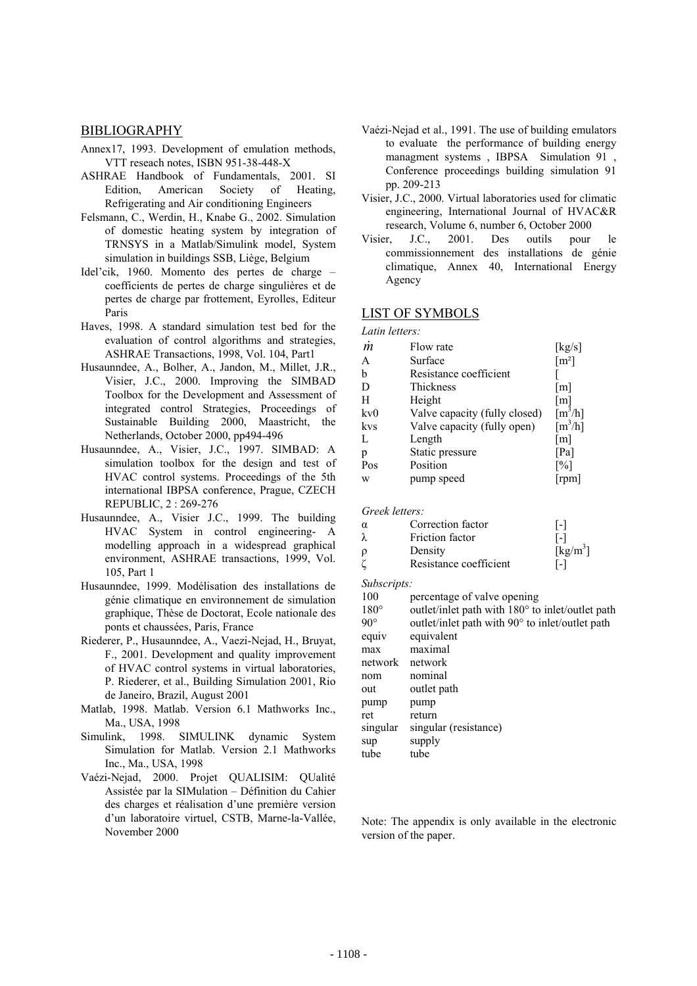#### **BIBLIOGRAPHY**

- Annex17, 1993. Development of emulation methods, VTT reseach notes, ISBN 951-38-448-X
- ASHRAE Handbook of Fundamentals, 2001. SI Edition, American Society of Heating, Refrigerating and Air conditioning Engineers
- Felsmann, C., Werdin, H., Knabe G., 2002. Simulation of domestic heating system by integration of TRNSYS in a Matlab/Simulink model, System simulation in buildings SSB, Liège, Belgium
- Idel'cik, 1960. Momento des pertes de charge coefficients de pertes de charge singulières et de pertes de charge par frottement, Eyrolles, Editeur Paris
- Haves, 1998. A standard simulation test bed for the evaluation of control algorithms and strategies, ASHRAE Transactions, 1998, Vol. 104, Part1
- Husaunndee, A., Bolher, A., Jandon, M., Millet, J.R., Visier, J.C., 2000. Improving the SIMBAD Toolbox for the Development and Assessment of integrated control Strategies, Proceedings of Sustainable Building 2000, Maastricht, the Netherlands, October 2000, pp494-496
- Husaunndee, A., Visier, J.C., 1997. SIMBAD: A simulation toolbox for the design and test of HVAC control systems. Proceedings of the 5th international IBPSA conference, Prague, CZECH REPUBLIC, 2 : 269-276
- Husaunndee, A., Visier J.C., 1999. The building HVAC System in control engineering- A modelling approach in a widespread graphical environment, ASHRAE transactions, 1999, Vol. 105, Part 1
- Husaunndee, 1999. Modélisation des installations de génie climatique en environnement de simulation graphique, Thèse de Doctorat, Ecole nationale des ponts et chaussées, Paris, France
- Riederer, P., Husaunndee, A., Vaezi-Nejad, H., Bruyat, F., 2001. Development and quality improvement of HVAC control systems in virtual laboratories, P. Riederer, et al., Building Simulation 2001, Rio de Janeiro, Brazil, August 2001
- Matlab, 1998. Matlab. Version 6.1 Mathworks Inc., Ma., USA, 1998
- Simulink, 1998. SIMULINK dynamic System Simulation for Matlab. Version 2.1 Mathworks Inc., Ma., USA, 1998
- Vaézi-Nejad, 2000. Projet QUALISIM: QUalité Assistée par la SIMulation – Définition du Cahier des charges et réalisation d'une première version d'un laboratoire virtuel, CSTB, Marne-la-Vallée, November 2000
- Vaézi-Nejad et al., 1991. The use of building emulators to evaluate the performance of building energy managment systems , IBPSA Simulation 91 , Conference proceedings building simulation 91 pp. 209-213
- Visier, J.C., 2000. Virtual laboratories used for climatic engineering, International Journal of HVAC&R research, Volume 6, number 6, October 2000
- Visier, J.C., 2001. Des outils pour le commissionnement des installations de génie climatique, Annex 40, International Energy Agency

## LIST OF SYMBOLS

*Latin letters:* 

| m   | Flow rate                     | [kg/s]                |
|-----|-------------------------------|-----------------------|
| A   | Surface                       | $\lceil m^2 \rceil$   |
| b   | Resistance coefficient        |                       |
| D   | Thickness                     | [m]                   |
| H   | Height                        | [m]                   |
| kv0 | Valve capacity (fully closed) | $\lceil m^3/h \rceil$ |
| kvs | Valve capacity (fully open)   | $\lceil m^3/h \rceil$ |
| L   | Length                        | $\lceil m \rceil$     |
| p   | Static pressure               | [Pa]                  |
| Pos | Position                      | $\lceil\% \rceil$     |
| W   | pump speed                    | [rpm]                 |
|     |                               |                       |

*Greek letters:* 

| $\alpha$ | Correction factor      | $\mathsf{L}$                  |
|----------|------------------------|-------------------------------|
| λ        | Friction factor        | l-l                           |
| ρ        | Density                | $\lceil \text{kg/m}^3 \rceil$ |
|          | Resistance coefficient | l-l                           |

*Subscripts:* 

100 percentage of valve opening

| $180^\circ$  | outlet/inlet path with 180° to inlet/outlet path |
|--------------|--------------------------------------------------|
| $90^{\circ}$ | outlet/inlet path with 90° to inlet/outlet path  |
| equiv        | equivalent                                       |
| max          | maximal                                          |
| network      | network                                          |
| nom          | nominal                                          |
| out          | outlet path                                      |
| pump         | pump                                             |
| ret          | return                                           |
| singular     | singular (resistance)                            |
| sup          | supply                                           |
| tube         | tube                                             |
|              |                                                  |

Note: The appendix is only available in the electronic version of the paper.